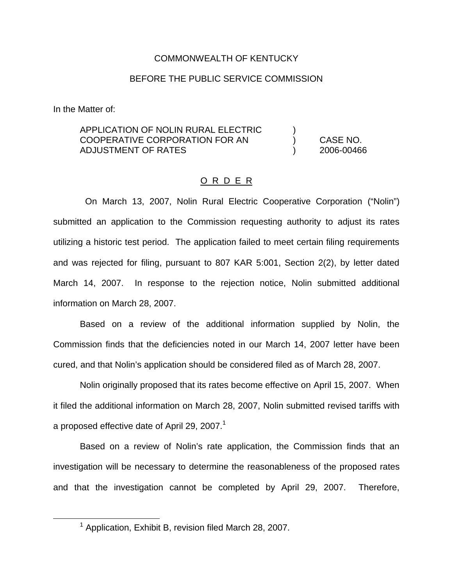#### COMMONWEALTH OF KENTUCKY

### BEFORE THE PUBLIC SERVICE COMMISSION

In the Matter of:

### APPLICATION OF NOLIN RURAL ELECTRIC ) COOPERATIVE CORPORATION FOR AN ) CASE NO. ADJUSTMENT OF RATES ) 2006-00466

#### O R D E R

On March 13, 2007, Nolin Rural Electric Cooperative Corporation ("Nolin") submitted an application to the Commission requesting authority to adjust its rates utilizing a historic test period. The application failed to meet certain filing requirements and was rejected for filing, pursuant to 807 KAR 5:001, Section 2(2), by letter dated March 14, 2007. In response to the rejection notice, Nolin submitted additional information on March 28, 2007.

Based on a review of the additional information supplied by Nolin, the Commission finds that the deficiencies noted in our March 14, 2007 letter have been cured, and that Nolin's application should be considered filed as of March 28, 2007.

Nolin originally proposed that its rates become effective on April 15, 2007. When it filed the additional information on March 28, 2007, Nolin submitted revised tariffs with a proposed effective date of April 29, 2007.<sup>1</sup>

Based on a review of Nolin's rate application, the Commission finds that an investigation will be necessary to determine the reasonableness of the proposed rates and that the investigation cannot be completed by April 29, 2007. Therefore,

 $1$  Application, Exhibit B, revision filed March 28, 2007.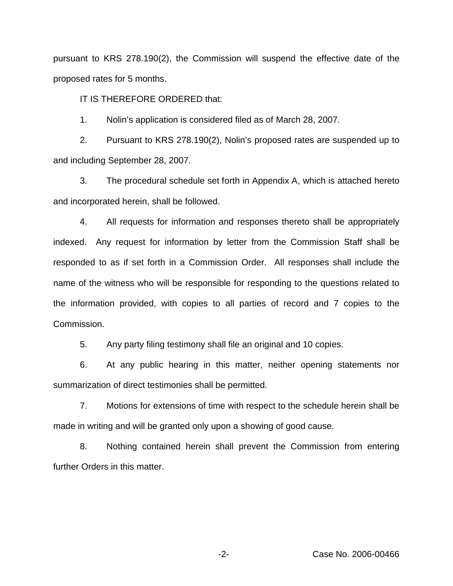pursuant to KRS 278.190(2), the Commission will suspend the effective date of the proposed rates for 5 months.

IT IS THEREFORE ORDERED that:

1. Nolin's application is considered filed as of March 28, 2007.

2. Pursuant to KRS 278.190(2), Nolin's proposed rates are suspended up to and including September 28, 2007.

3. The procedural schedule set forth in Appendix A, which is attached hereto and incorporated herein, shall be followed.

4. All requests for information and responses thereto shall be appropriately indexed. Any request for information by letter from the Commission Staff shall be responded to as if set forth in a Commission Order. All responses shall include the name of the witness who will be responsible for responding to the questions related to the information provided, with copies to all parties of record and 7 copies to the Commission.

5. Any party filing testimony shall file an original and 10 copies.

6. At any public hearing in this matter, neither opening statements nor summarization of direct testimonies shall be permitted.

7. Motions for extensions of time with respect to the schedule herein shall be made in writing and will be granted only upon a showing of good cause.

8. Nothing contained herein shall prevent the Commission from entering further Orders in this matter.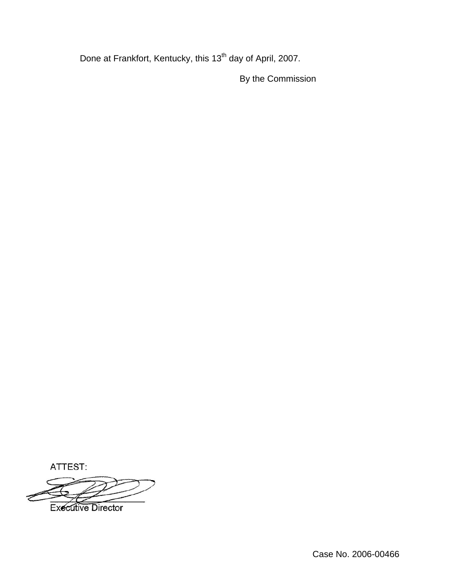Done at Frankfort, Kentucky, this 13<sup>th</sup> day of April, 2007.

By the Commission

ATTEST:

**Executive Director**